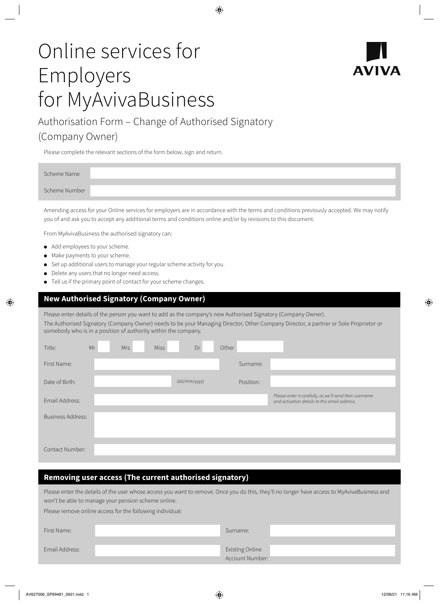# Online services for Employers for MyAvivaBusiness



## Authorisation Form – Change of Authorised Signatory (Company Owner)

Please complete the relevant sections of the form below, sign and return.

| Scheme Name   |  |
|---------------|--|
| Scheme Number |  |
|               |  |

Amending access for your Online services for employers are in accordance with the terms and conditions previously accepted. We may notify you of and ask you to accept any additional terms and conditions online and/or by revisions to this document.

From MyAvivaBusiness the authorised signatory can:

- Add employees to your scheme.
- Make payments to your scheme.
- Set up additional users to manage your regular scheme activity for you.
- Delete any users that no longer need access.
- Tell us if the primary point of contact for your scheme changes.

#### **New Authorised Signatory (Company Owner)**

Please enter details of the person you want to add as the company's new Authorised Signatory (Company Owner). The Authorised Signatory (Company Owner) needs to be your Managing Director, Other Company Director, a partner or Sole Proprietor or somebody who is in a position of authority within the company.

| Title:                   | Mr | <b>Mrs</b> | <b>Miss</b> | Dr           | Other |           |                                                                                                          |
|--------------------------|----|------------|-------------|--------------|-------|-----------|----------------------------------------------------------------------------------------------------------|
| First Name:              |    |            |             |              |       | Surname:  |                                                                                                          |
| Date of Birth:           |    |            |             | (dd/mm/yyyy) |       | Position: |                                                                                                          |
| Email Address:           |    |            |             |              |       |           | Please enter it carefully, as we'll send their username<br>and activation details to this email address. |
| <b>Business Address:</b> |    |            |             |              |       |           |                                                                                                          |
| Contact Number:          |    |            |             |              |       |           |                                                                                                          |

#### **Removing user access (The current authorised signatory)**

Please enter the details of the user whose access you want to remove. Once you do this, they'll no longer have access to MyAvivaBusiness and won't be able to manage your pension scheme online.

Please remove online access for the following individual:

| First Name:    | Surname:                           |
|----------------|------------------------------------|
| Email Address: | Existing Online<br>Account Number: |